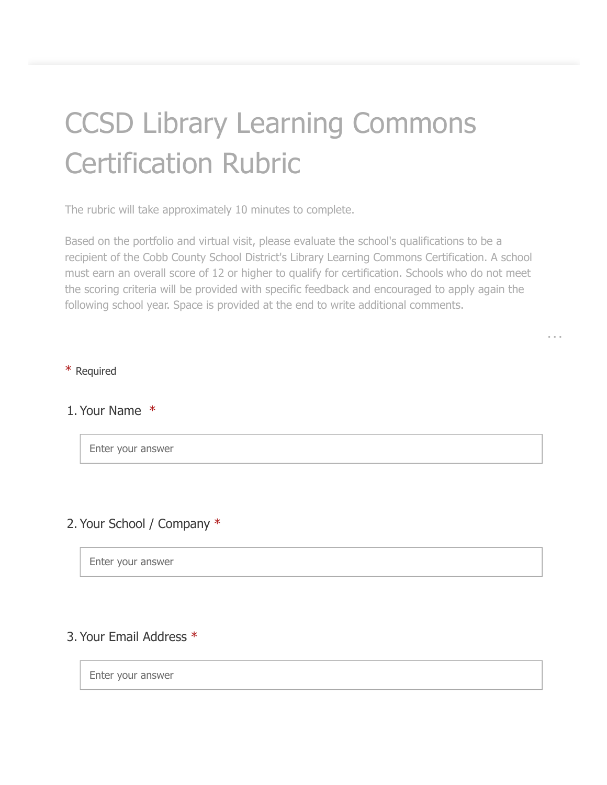# CCSD Library Learning Commons Certification Rubric

The rubric will take approximately 10 minutes to complete.

Based on the portfolio and virtual visit, please evaluate the school's qualifications to be a recipient of the Cobb County School District's Library Learning Commons Certification. A school must earn an overall score of 12 or higher to qualify for certification. Schools who do not meet the scoring criteria will be provided with specific feedback and encouraged to apply again the following school year. Space is provided at the end to write additional comments.

#### \* Required

#### 1. Your Name \*

Enter your answer

#### 2. Your School / Company \*

Enter your answer

### 3. Your Email Address \*

Enter your answer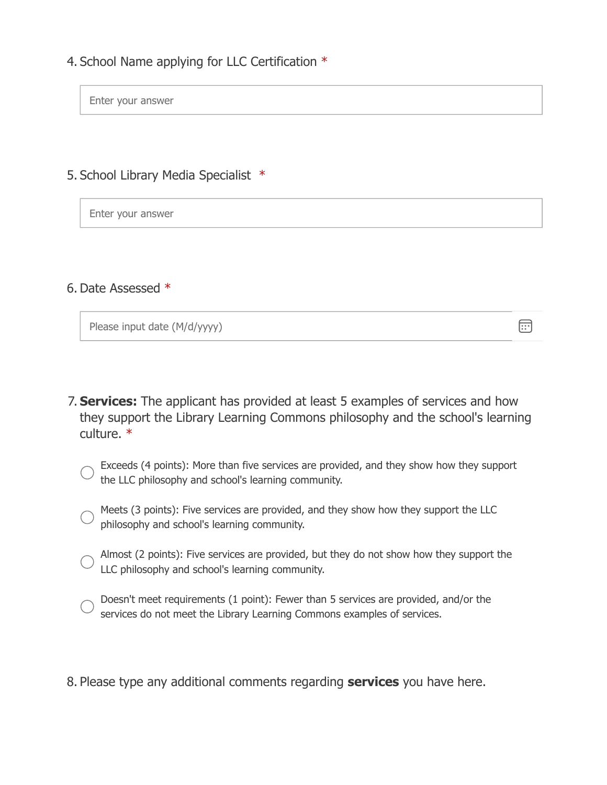4. School Name applying for LLC Certification \*

Enter your answer

5. School Library Media Specialist \*

Enter your answer

6. Date Assessed \*

Please input date (M/d/yyyy)

**Services:** The applicant has provided at least 5 examples of services and how 7. they support the Library Learning Commons philosophy and the school's learning culture. \*

 $\boxed{...}$ 

- Exceeds (4 points): More than five services are provided, and they show how they support the LLC philosophy and school's learning community.
- Meets (3 points): Five services are provided, and they show how they support the LLC philosophy and school's learning community.
- Almost (2 points): Five services are provided, but they do not show how they support the LLC philosophy and school's learning community.
- Doesn't meet requirements (1 point): Fewer than 5 services are provided, and/or the services do not meet the Library Learning Commons examples of services.
- 8. Please type any additional comments regarding **services** you have here.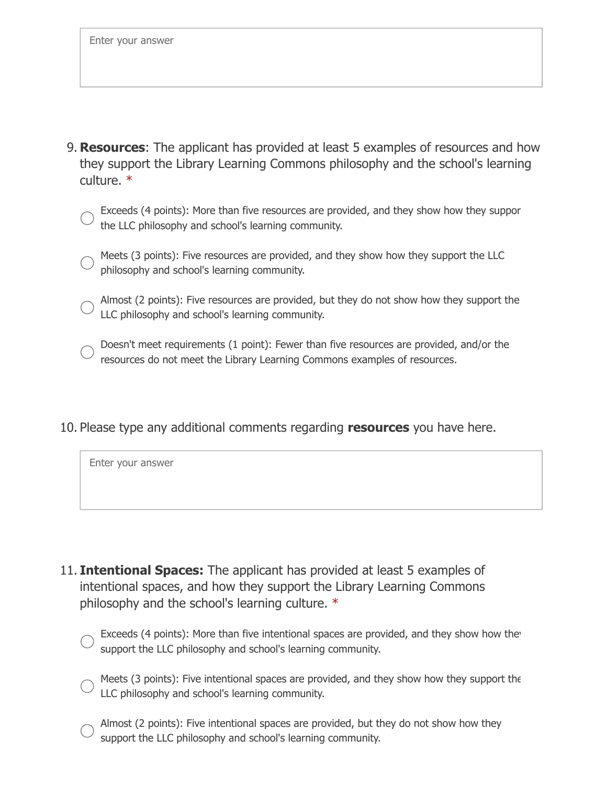- **Resources**: The applicant has provided at least 5 examples of resources and how 9. they support the Library Learning Commons philosophy and the school's learning culture. \*
	- Exceeds (4 points): More than five resources are provided, and they show how they suppor the LLC philosophy and school's learning community.
	- Meets (3 points): Five resources are provided, and they show how they support the LLC philosophy and school's learning community.
	- Almost (2 points): Five resources are provided, but they do not show how they support the LLC philosophy and school's learning community.
	- Doesn't meet requirements (1 point): Fewer than five resources are provided, and/or the resources do not meet the Library Learning Commons examples of resources.
- 10. Please type any additional comments regarding **resources** you have here.

Enter your answer

- 11. **Intentional Spaces:** The applicant has provided at least 5 examples of intentional spaces, and how they support the Library Learning Commons philosophy and the school's learning culture. \*
	- Exceeds (4 points): More than five intentional spaces are provided, and they show how the support the LLC philosophy and school's learning community.
	- Meets (3 points): Five intentional spaces are provided, and they show how they support the LLC philosophy and school's learning community.
		- Almost (2 points): Five intentional spaces are provided, but they do not show how they support the LLC philosophy and school's learning community.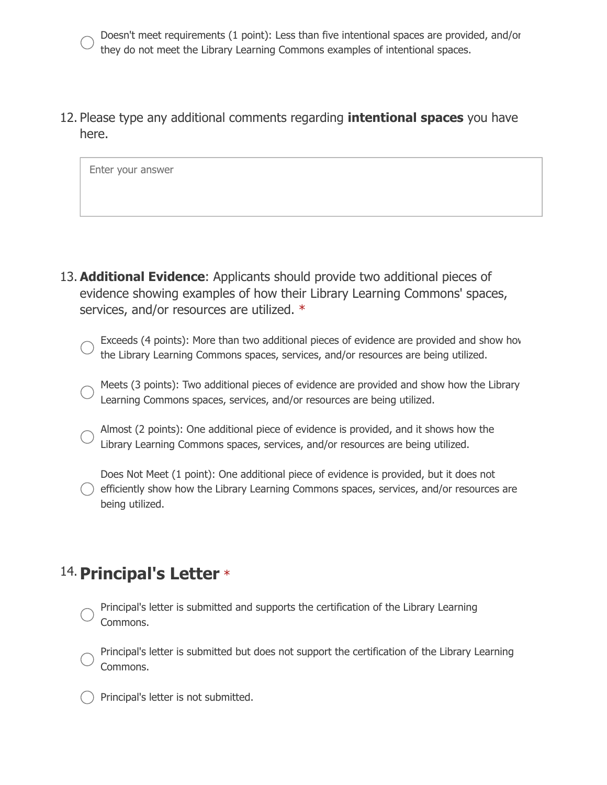Doesn't meet requirements (1 point): Less than five intentional spaces are provided, and/or they do not meet the Library Learning Commons examples of intentional spaces.

12. Please type any additional comments regarding **intentional spaces** you have here.

Enter your answer

- **Additional Evidence**: Applicants should provide two additional pieces of 13. evidence showing examples of how their Library Learning Commons' spaces, services, and/or resources are utilized. \*
	- Exceeds (4 points): More than two additional pieces of evidence are provided and show how the Library Learning Commons spaces, services, and/or resources are being utilized.
	- Meets (3 points): Two additional pieces of evidence are provided and show how the Library Learning Commons spaces, services, and/or resources are being utilized.
	- Almost (2 points): One additional piece of evidence is provided, and it shows how the Library Learning Commons spaces, services, and/or resources are being utilized.
	- Does Not Meet (1 point): One additional piece of evidence is provided, but it does not efficiently show how the Library Learning Commons spaces, services, and/or resources are being utilized.

## 14. Principal's Letter \*

- Principal's letter is submitted and supports the certification of the Library Learning Commons.
- Principal's letter is submitted but does not support the certification of the Library Learning Commons.
- Principal's letter is not submitted.